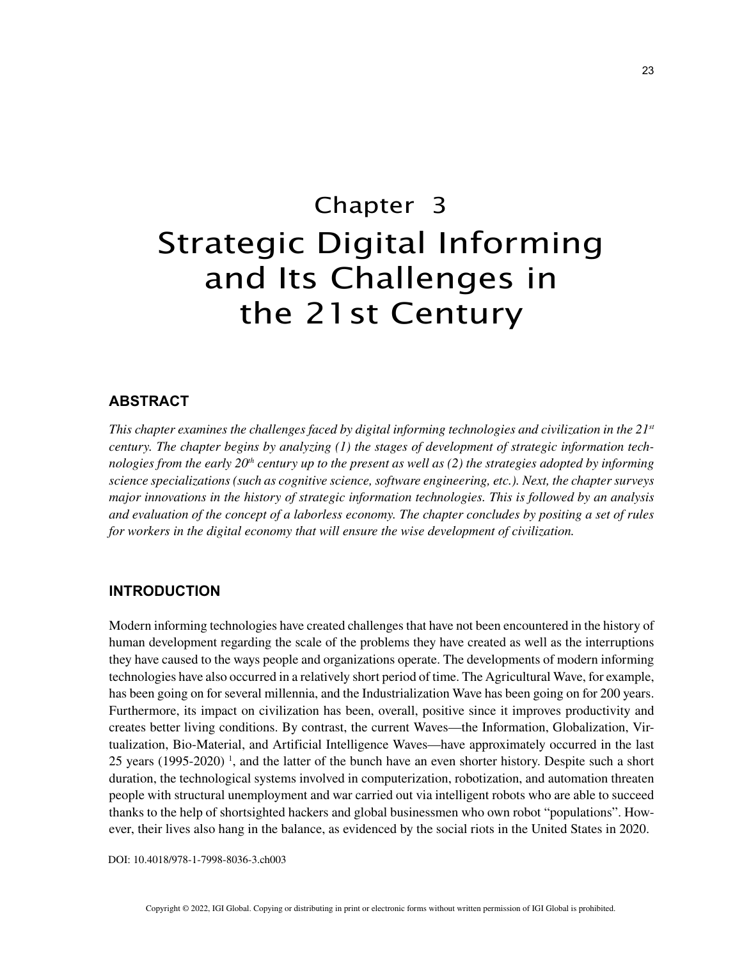# Chapter 3 Strategic Digital Informing and Its Challenges in the 21st Century

### **ABSTRACT**

*This chapter examines the challenges faced by digital informing technologies and civilization in the 21st century. The chapter begins by analyzing (1) the stages of development of strategic information technologies from the early 20th century up to the present as well as (2) the strategies adopted by informing science specializations (such as cognitive science, software engineering, etc.). Next, the chapter surveys major innovations in the history of strategic information technologies. This is followed by an analysis and evaluation of the concept of a laborless economy. The chapter concludes by positing a set of rules for workers in the digital economy that will ensure the wise development of civilization.*

#### **INTRODUCTION**

Modern informing technologies have created challenges that have not been encountered in the history of human development regarding the scale of the problems they have created as well as the interruptions they have caused to the ways people and organizations operate. The developments of modern informing technologies have also occurred in a relatively short period of time. The Agricultural Wave, for example, has been going on for several millennia, and the Industrialization Wave has been going on for 200 years. Furthermore, its impact on civilization has been, overall, positive since it improves productivity and creates better living conditions. By contrast, the current Waves—the Information, Globalization, Virtualization, Bio-Material, and Artificial Intelligence Waves—have approximately occurred in the last 25 years  $(1995-2020)$ <sup>1</sup>, and the latter of the bunch have an even shorter history. Despite such a short duration, the technological systems involved in computerization, robotization, and automation threaten people with structural unemployment and war carried out via intelligent robots who are able to succeed thanks to the help of shortsighted hackers and global businessmen who own robot "populations". However, their lives also hang in the balance, as evidenced by the social riots in the United States in 2020.

DOI: 10.4018/978-1-7998-8036-3.ch003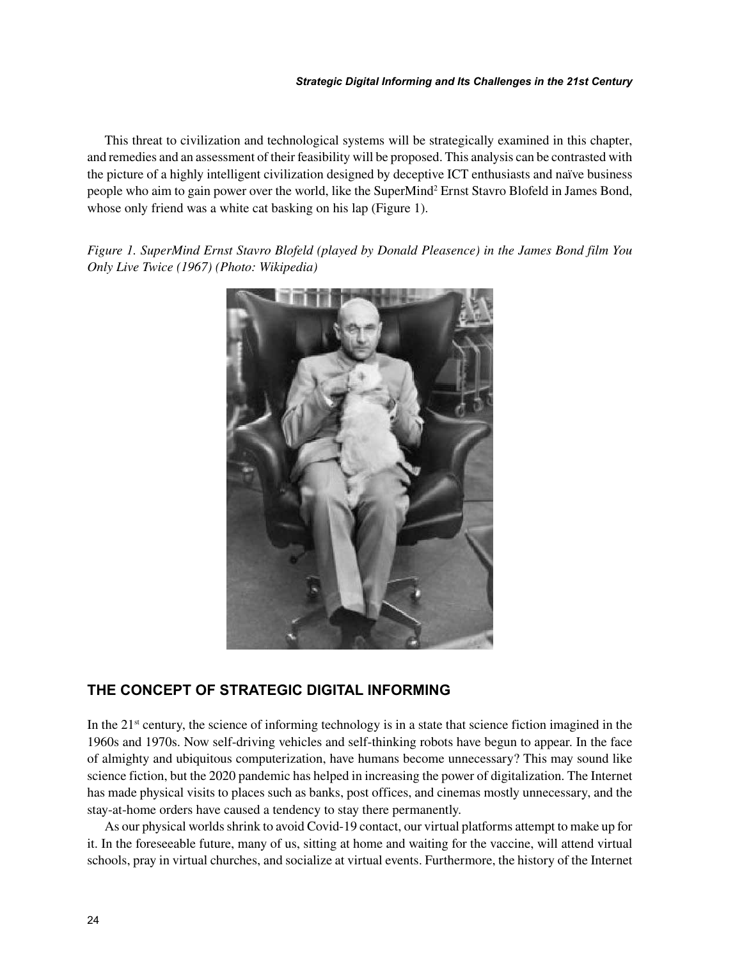This threat to civilization and technological systems will be strategically examined in this chapter, and remedies and an assessment of their feasibility will be proposed. This analysis can be contrasted with the picture of a highly intelligent civilization designed by deceptive ICT enthusiasts and naïve business people who aim to gain power over the world, like the SuperMind<sup>2</sup> Ernst Stavro Blofeld in James Bond, whose only friend was a white cat basking on his lap (Figure 1).

*Figure 1. SuperMind Ernst Stavro Blofeld (played by Donald Pleasence) in the James Bond film You Only Live Twice (1967) (Photo: Wikipedia)*



# **THE CONCEPT OF STRATEGIC DIGITAL INFORMING**

In the  $21<sup>st</sup>$  century, the science of informing technology is in a state that science fiction imagined in the 1960s and 1970s. Now self-driving vehicles and self-thinking robots have begun to appear. In the face of almighty and ubiquitous computerization, have humans become unnecessary? This may sound like science fiction, but the 2020 pandemic has helped in increasing the power of digitalization. The Internet has made physical visits to places such as banks, post offices, and cinemas mostly unnecessary, and the stay-at-home orders have caused a tendency to stay there permanently.

As our physical worlds shrink to avoid Covid-19 contact, our virtual platforms attempt to make up for it. In the foreseeable future, many of us, sitting at home and waiting for the vaccine, will attend virtual schools, pray in virtual churches, and socialize at virtual events. Furthermore, the history of the Internet